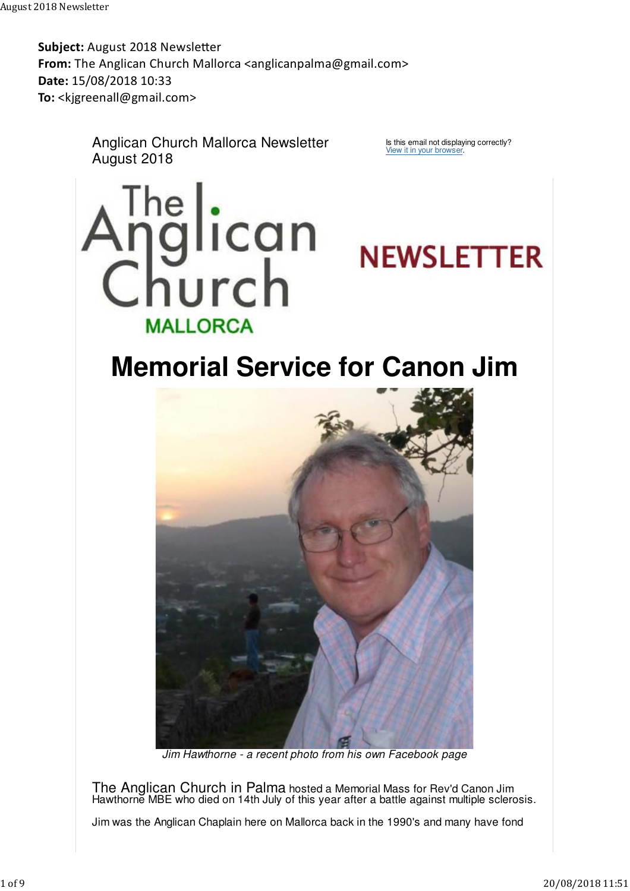Subject: August 2018 Newsletter From: The Anglican Church Mallorca <anglicanpalma@gmail.com> Date: 15/08/2018 10:33 To: <kjgreenall@gmail.com>

> Anglican Church Mallorca Newsletter August 2018

Is this email not displaying correctly? View it in your browser.





## **Memorial Service for Canon Jim**



Jim Hawthorne - a recent photo from his own Facebook page

The Anglican Church in Palma hosted a Memorial Mass for Rev'd Canon Jim Hawthorne MBE who died on 14th July of this year after a battle against multiple sclerosis.

Jim was the Anglican Chaplain here on Mallorca back in the 1990's and many have fond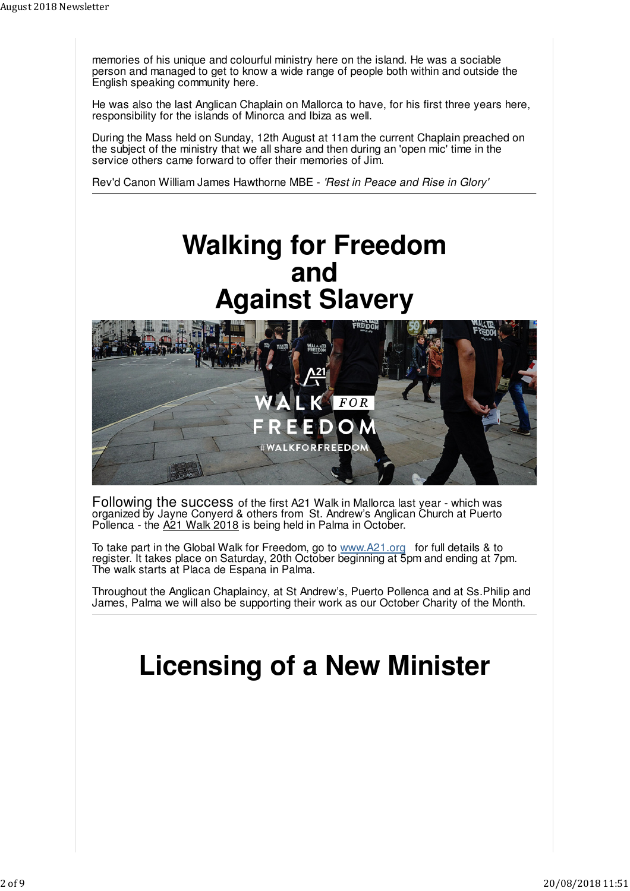memories of his unique and colourful ministry here on the island. He was a sociable person and managed to get to know a wide range of people both within and outside the English speaking community here.

He was also the last Anglican Chaplain on Mallorca to have, for his first three years here, responsibility for the islands of Minorca and Ibiza as well.

During the Mass held on Sunday, 12th August at 11am the current Chaplain preached on the subject of the ministry that we all share and then during an 'open mic' time in the service others came forward to offer their memories of Jim.

Rev'd Canon William James Hawthorne MBE - 'Rest in Peace and Rise in Glory'

### **Walking for Freedom and Against Slavery**



Following the success of the first A21 Walk in Mallorca last year - which was organized by Jayne Conyerd & others from St. Andrew's Anglican Church at Puerto Pollenca - the A21 Walk 2018 is being held in Palma in October.

To take part in the Global Walk for Freedom, go to www.A21.org for full details & to register. It takes place on Saturday, 20th October beginning at 5pm and ending at 7pm. The walk starts at Placa de Espana in Palma.

Throughout the Anglican Chaplaincy, at St Andrew's, Puerto Pollenca and at Ss.Philip and James, Palma we will also be supporting their work as our October Charity of the Month.

# **Licensing of a New Minister**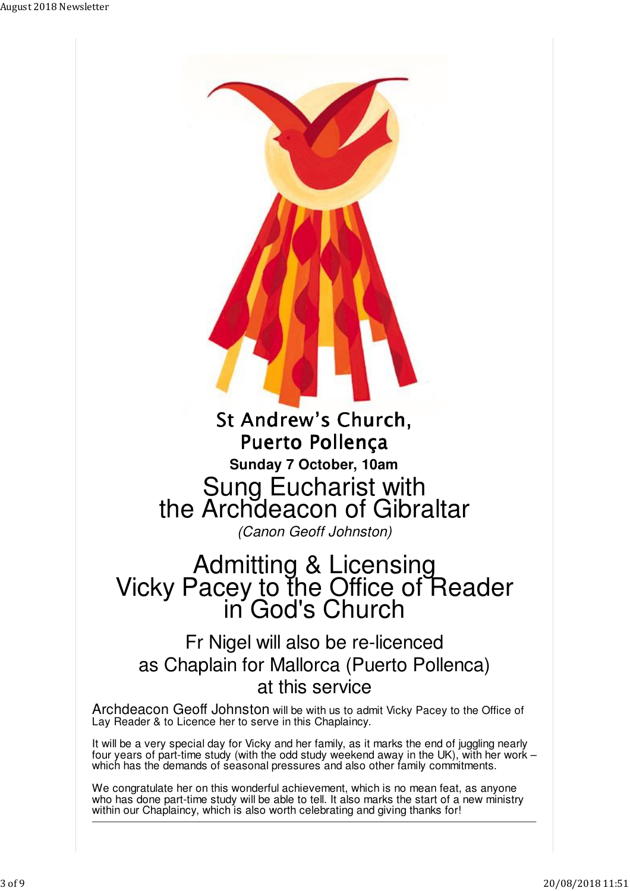

### Admitting & Licensing Vicky Pacey to the Office of Reader in God's Church

### Fr Nigel will also be re-licenced as Chaplain for Mallorca (Puerto Pollenca) at this service

Archdeacon Geoff Johnston will be with us to admit Vicky Pacey to the Office of Lay Reader & to Licence her to serve in this Chaplaincy.

It will be a very special day for Vicky and her family, as it marks the end of juggling nearly four years of part-time study (with the odd study weekend away in the UK), with her work – which has the demands of seasonal pressures and also other family commitments.

We congratulate her on this wonderful achievement, which is no mean feat, as anyone who has done part-time study will be able to tell. It also marks the start of a new ministry within our Chaplaincy, which is also worth celebrating and giving thanks for!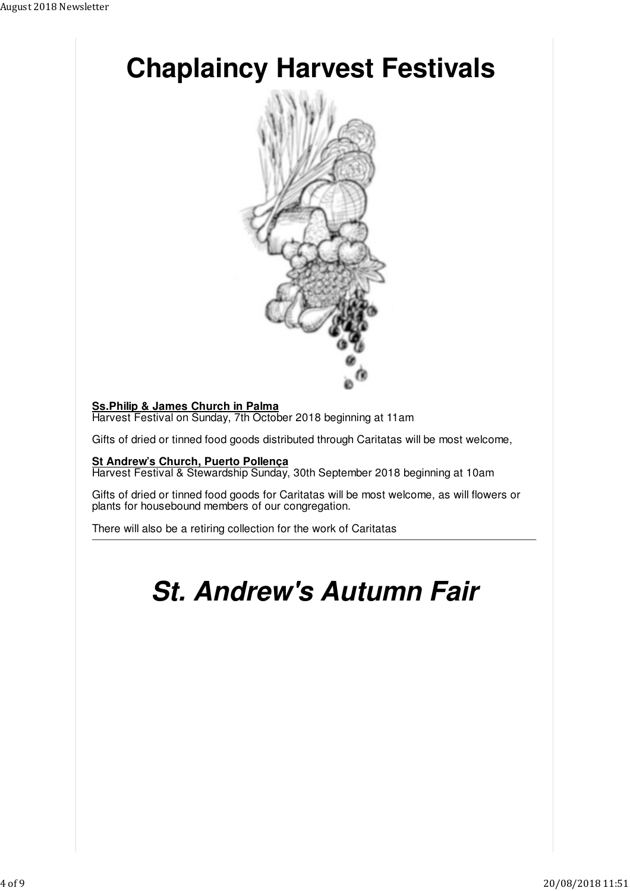

### **Ss.Philip & James Church in Palma**

Harvest Festival on Sunday, 7th October 2018 beginning at 11am

Gifts of dried or tinned food goods distributed through Caritatas will be most welcome,

#### **St Andrew's Church, Puerto Pollença**

Harvest Festival & Stewardship Sunday, 30th September 2018 beginning at 10am

Gifts of dried or tinned food goods for Caritatas will be most welcome, as will flowers or plants for housebound members of our congregation.

There will also be a retiring collection for the work of Caritatas

### **St. Andrew's Autumn Fair**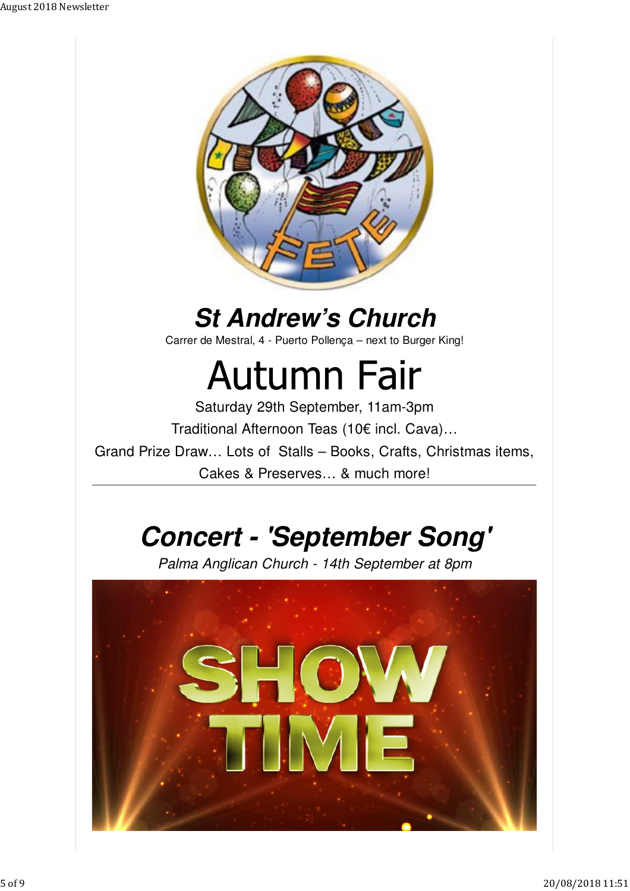

### **St Andrew's Church**

Carrer de Mestral, 4 - Puerto Pollença – next to Burger King!

# **Autumn Fair**

Saturday 29th September, 11am-3pm Traditional Afternoon Teas (10€ incl. Cava)…

Grand Prize Draw… Lots of Stalls – Books, Crafts, Christmas items,

Cakes & Preserves… & much more!

## **Concert - 'September Song'**

Palma Anglican Church - 14th September at 8pm

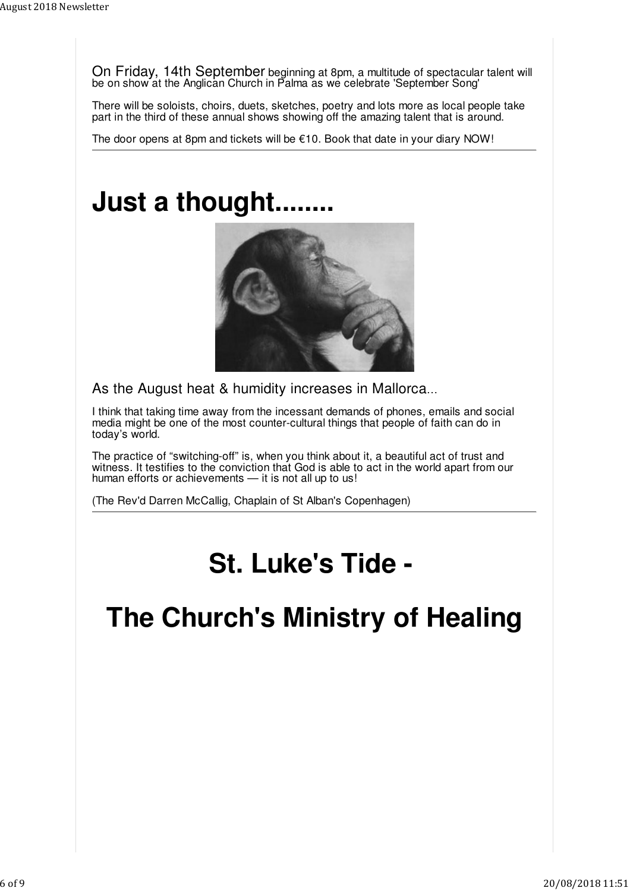On Friday, 14th September beginning at 8pm, a multitude of spectacular talent will be on show at the Anglican Church in Palma as we celebrate 'September Song'

There will be soloists, choirs, duets, sketches, poetry and lots more as local people take part in the third of these annual shows showing off the amazing talent that is around.

The door opens at 8pm and tickets will be  $\epsilon$ 10. Book that date in your diary NOW!

## **Just a thought.**



As the August heat & humidity increases in Mallorca…

I think that taking time away from the incessant demands of phones, emails and social media might be one of the most counter-cultural things that people of faith can do in today's world.

The practice of "switching-off" is, when you think about it, a beautiful act of trust and witness. It testifies to the conviction that God is able to act in the world apart from our human efforts or achievements — it is not all up to us!

(The Rev'd Darren McCallig, Chaplain of St Alban's Copenhagen)

### **St. Luke's Tide -**

### **The Church's Ministry of Healing**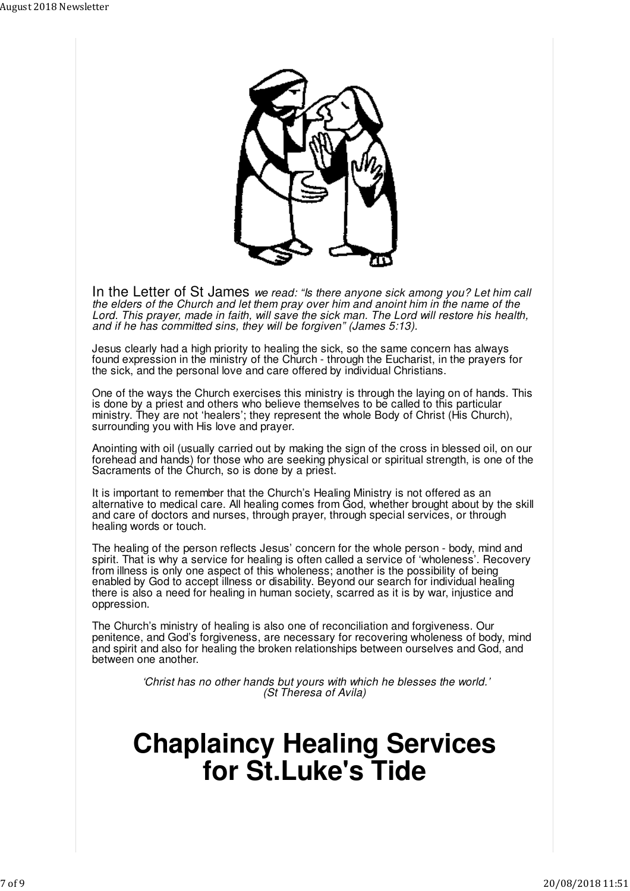

In the Letter of St James we read: "Is there anyone sick among you? Let him call the elders of the Church and let them pray over him and anoint him in the name of the Lord. This prayer, made in faith, will save the sick man. The Lord will restore his health, and if he has committed sins, they will be forgiven" (James 5:13).

Jesus clearly had a high priority to healing the sick, so the same concern has always found expression in the ministry of the Church - through the Eucharist, in the prayers for the sick, and the personal love and care offered by individual Christians.

One of the ways the Church exercises this ministry is through the laying on of hands. This is done by a priest and others who believe themselves to be called to this particular ministry. They are not 'healers'; they represent the whole Body of Christ (His Church), surrounding you with His love and prayer.

Anointing with oil (usually carried out by making the sign of the cross in blessed oil, on our forehead and hands) for those who are seeking physical or spiritual strength, is one of the Sacraments of the Church, so is done by a priest.

It is important to remember that the Church's Healing Ministry is not offered as an alternative to medical care. All healing comes from God, whether brought about by the skill and care of doctors and nurses, through prayer, through special services, or through healing words or touch.

The healing of the person reflects Jesus' concern for the whole person - body, mind and spirit. That is why a service for healing is often called a service of 'wholeness'. Recovery from illness is only one aspect of this wholeness; another is the possibility of being enabled by God to accept illness or disability. Beyond our search for individual healing there is also a need for healing in human society, scarred as it is by war, injustice and oppression.

The Church's ministry of healing is also one of reconciliation and forgiveness. Our penitence, and God's forgiveness, are necessary for recovering wholeness of body, mind and spirit and also for healing the broken relationships between ourselves and God, and between one another.

> 'Christ has no other hands but yours with which he blesses the world.' (St Theresa of Avila)

### **Chaplaincy Healing Services for St.Luke's Tide**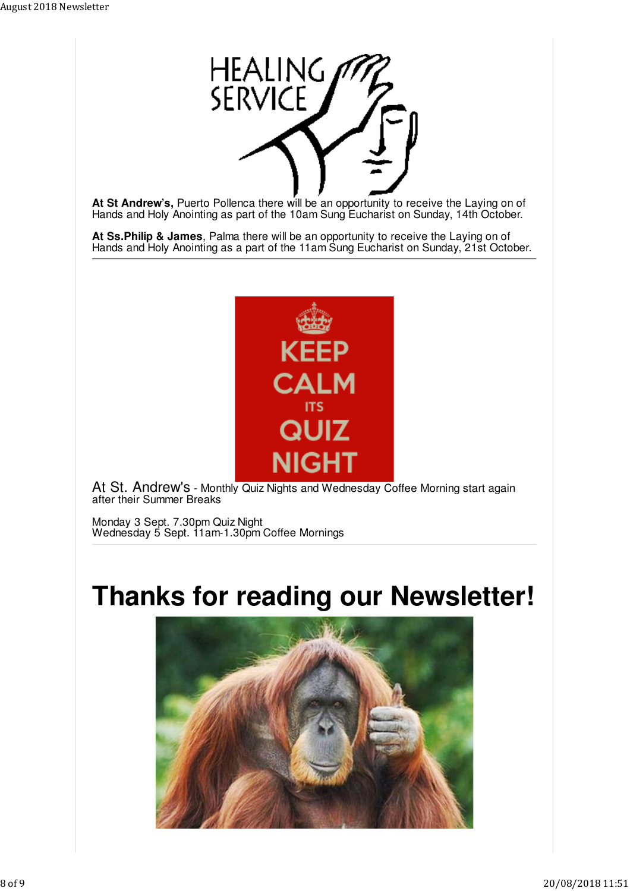

**At St Andrew's,** Puerto Pollenca there will be an opportunity to receive the Laying on of Hands and Holy Anointing as part of the 10am Sung Eucharist on Sunday, 14th October.

**At Ss.Philip & James**, Palma there will be an opportunity to receive the Laying on of Hands and Holy Anointing as a part of the 11am Sung Eucharist on Sunday, 21st October.



At St. Andrew's - Monthly Quiz Nights and Wednesday Coffee Morning start again after their Summer Breaks

Monday 3 Sept. 7.30pm Quiz Night Wednesday 5 Sept. 11am-1.30pm Coffee Mornings

### **Thanks for reading our Newsletter!**